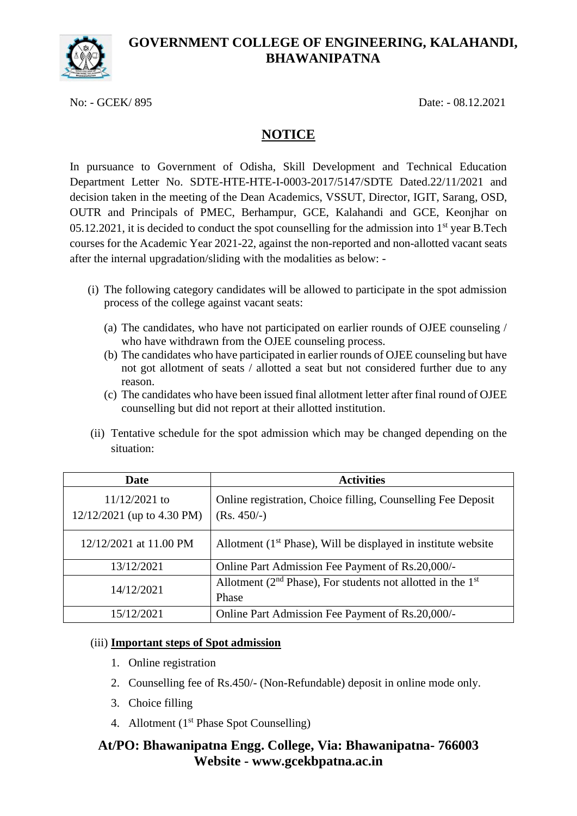

No: - GCEK/ 895 Date: - 08.12.2021

## **NOTICE**

In pursuance to Government of Odisha, Skill Development and Technical Education Department Letter No. SDTE-HTE-HTE-I-0003-2017/5147/SDTE Dated.22/11/2021 and decision taken in the meeting of the Dean Academics, VSSUT, Director, IGIT, Sarang, OSD, OUTR and Principals of PMEC, Berhampur, GCE, Kalahandi and GCE, Keonjhar on 05.12.2021, it is decided to conduct the spot counselling for the admission into  $1<sup>st</sup>$  year B.Tech courses for the Academic Year 2021-22, against the non-reported and non-allotted vacant seats after the internal upgradation/sliding with the modalities as below: -

- (i) The following category candidates will be allowed to participate in the spot admission process of the college against vacant seats:
	- (a) The candidates, who have not participated on earlier rounds of OJEE counseling / who have withdrawn from the OJEE counseling process.
	- (b) The candidates who have participated in earlier rounds of OJEE counseling but have not got allotment of seats / allotted a seat but not considered further due to any reason.
	- (c) The candidates who have been issued final allotment letter after final round of OJEE counselling but did not report at their allotted institution.
- (ii) Tentative schedule for the spot admission which may be changed depending on the situation:

| <b>Date</b>                                     | <b>Activities</b>                                                                   |
|-------------------------------------------------|-------------------------------------------------------------------------------------|
| $11/12/2021$ to<br>$12/12/2021$ (up to 4.30 PM) | Online registration, Choice filling, Counselling Fee Deposit<br>$(Rs. 450/-)$       |
| 12/12/2021 at 11.00 PM                          | Allotment $(1st Phase)$ , Will be displayed in institute website                    |
| 13/12/2021                                      | Online Part Admission Fee Payment of Rs.20,000/-                                    |
| 14/12/2021                                      | Allotment ( $2nd$ Phase), For students not allotted in the 1 <sup>st</sup><br>Phase |
| 15/12/2021                                      | Online Part Admission Fee Payment of Rs.20,000/-                                    |

### (iii) **Important steps of Spot admission**

- 1. Online registration
- 2. Counselling fee of Rs.450/- (Non-Refundable) deposit in online mode only.
- 3. Choice filling
- 4. Allotment  $(1<sup>st</sup> Phase Spot Counciling)$

## **At/PO: Bhawanipatna Engg. College, Via: Bhawanipatna- 766003 Website - www.gcekbpatna.ac.in**